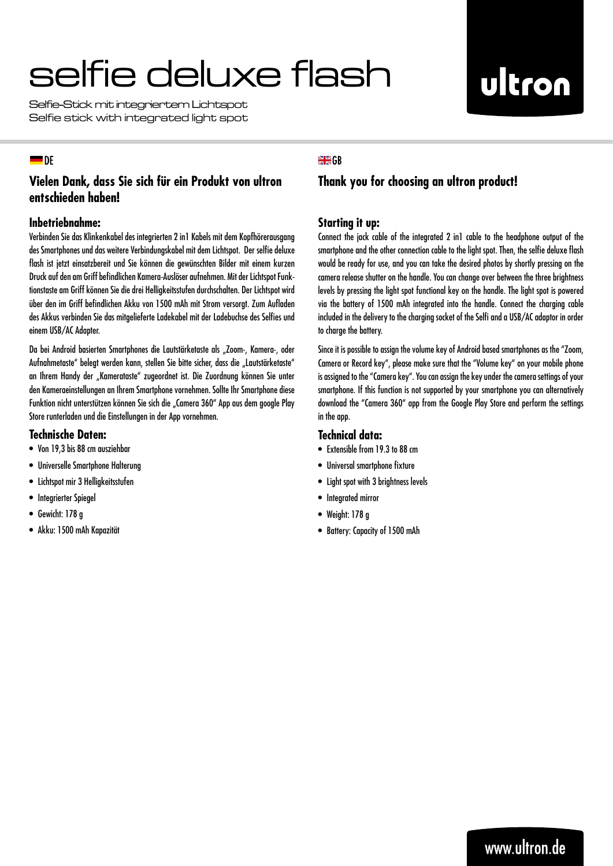# selfie deluxe flash

Selfie-Stick mit integriertem Lichtspot Selfie stick with integrated light spot

# ultron

## $\blacksquare$ DE

# **Vielen Dank, dass Sie sich für ein Produkt von ultron entschieden haben!**

## **Inbetriebnahme:**

Verbinden Sie das Klinkenkabel des integrierten 2 in1 Kabels mit dem Kopfhörerausgang des Smartphones und das weitere Verbindungskabel mit dem Lichtspot. Der selfie deluxe flash ist jetzt einsatzbereit und Sie können die gewünschten Bilder mit einem kurzen Druck auf den am Griff befindlichen Kamera-Auslöser aufnehmen. Mit der Lichtspot Funktionstaste am Griff können Sie die drei Helligkeitsstufen durchschalten. Der Lichtspot wird über den im Griff befindlichen Akku von 1500 mAh mit Strom versorgt. Zum Aufladen des Akkus verbinden Sie das mitgelieferte Ladekabel mit der Ladebuchse des Selfies und einem USB/AC Adapter.

Da bei Android basierten Smartphones die Lautstärketaste als "Zoom-, Kamera-, oder Aufnahmetaste" belegt werden kann, stellen Sie bitte sicher, dass die "Lautstärketaste" an Ihrem Handy der "Kamerataste" zugeordnet ist. Die Zuordnung können Sie unter den Kameraeinstellungen an Ihrem Smartphone vornehmen. Sollte Ihr Smartphone diese Funktion nicht unterstützen können Sie sich die "Camera 360" App aus dem google Play Store runterladen und die Einstellungen in der App vornehmen.

### **Technische Daten:**

- • Von 19,3 bis 88 cm ausziehbar
- • Universelle Smartphone Halterung
- • Lichtspot mir 3 Helligkeitsstufen
- • Integrierter Spiegel
- • Gewicht: 178 g
- • Akku: 1500 mAh Kapazität

## $H$   $G$

# **Thank you for choosing an ultron product!**

## **Starting it up:**

Connect the jack cable of the integrated 2 in1 cable to the headphone output of the smartphone and the other connection cable to the light spot. Then, the selfie deluxe flash would be ready for use, and you can take the desired photos by shortly pressing on the camera release shutter on the handle. You can change over between the three brightness levels by pressing the light spot functional key on the handle. The light spot is powered via the battery of 1500 mAh integrated into the handle. Connect the charging cable included in the delivery to the charging socket of the Selfi and a USB/AC adaptor in order to charge the battery.

Since it is possible to assign the volume key of Android based smartphones as the "Zoom, Camera or Record key", please make sure that the "Volume key" on your mobile phone is assigned to the "Camera key". You can assign the key under the camera settings of your smartphone. If this function is not supported by your smartphone you can alternatively download the "Camera 360" app from the Google Play Store and perform the settings in the app.

## **Technical data:**

- Extensible from 19.3 to 88 cm
- • Universal smartphone fixture
- Light spot with 3 brightness levels
- • Integrated mirror
- Weight: 178 g
- • Battery: Capacity of 1500 mAh

# www.ultron.de